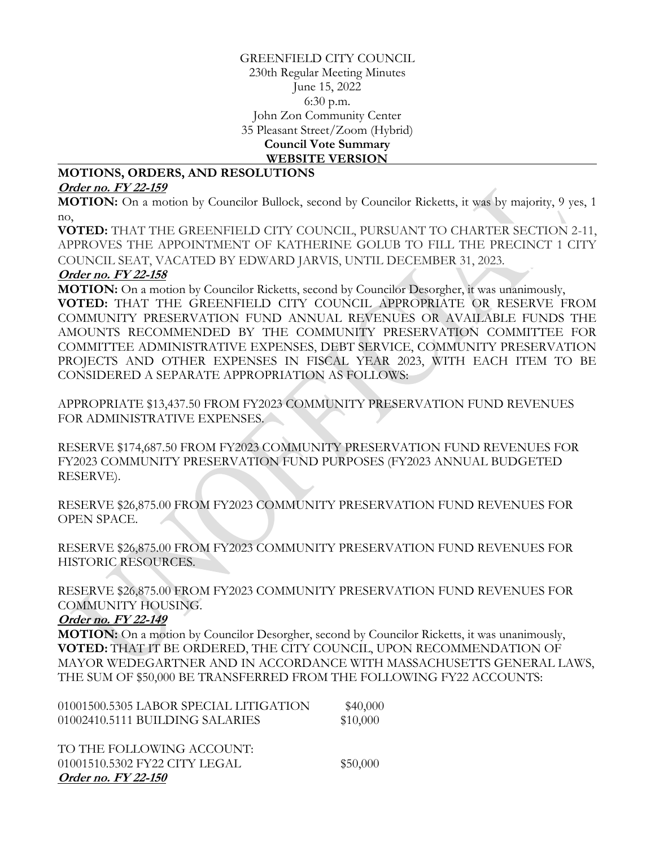## GREENFIELD CITY COUNCIL 230th Regular Meeting Minutes June 15, 2022 6:30 p.m. John Zon Community Center 35 Pleasant Street/Zoom (Hybrid) **Council Vote Summary WEBSITE VERSION**

## **MOTIONS, ORDERS, AND RESOLUTIONS**

## **Order no. FY 22-159**

**MOTION:** On a motion by Councilor Bullock, second by Councilor Ricketts, it was by majority, 9 yes, 1 no,

**VOTED:** THAT THE GREENFIELD CITY COUNCIL, PURSUANT TO CHARTER SECTION 2-11, APPROVES THE APPOINTMENT OF KATHERINE GOLUB TO FILL THE PRECINCT 1 CITY COUNCIL SEAT, VACATED BY EDWARD JARVIS, UNTIL DECEMBER 31, 2023.

#### **Order no. FY 22-158**

**MOTION:** On a motion by Councilor Ricketts, second by Councilor Desorgher, it was unanimously, **VOTED:** THAT THE GREENFIELD CITY COUNCIL APPROPRIATE OR RESERVE FROM COMMUNITY PRESERVATION FUND ANNUAL REVENUES OR AVAILABLE FUNDS THE AMOUNTS RECOMMENDED BY THE COMMUNITY PRESERVATION COMMITTEE FOR COMMITTEE ADMINISTRATIVE EXPENSES, DEBT SERVICE, COMMUNITY PRESERVATION PROJECTS AND OTHER EXPENSES IN FISCAL YEAR 2023, WITH EACH ITEM TO BE CONSIDERED A SEPARATE APPROPRIATION AS FOLLOWS:

APPROPRIATE \$13,437.50 FROM FY2023 COMMUNITY PRESERVATION FUND REVENUES FOR ADMINISTRATIVE EXPENSES.

RESERVE \$174,687.50 FROM FY2023 COMMUNITY PRESERVATION FUND REVENUES FOR FY2023 COMMUNITY PRESERVATION FUND PURPOSES (FY2023 ANNUAL BUDGETED RESERVE).

RESERVE \$26,875.00 FROM FY2023 COMMUNITY PRESERVATION FUND REVENUES FOR OPEN SPACE.

RESERVE \$26,875.00 FROM FY2023 COMMUNITY PRESERVATION FUND REVENUES FOR HISTORIC RESOURCES.

RESERVE \$26,875.00 FROM FY2023 COMMUNITY PRESERVATION FUND REVENUES FOR COMMUNITY HOUSING.

## **Order no. FY 22-149**

**MOTION:** On a motion by Councilor Desorgher, second by Councilor Ricketts, it was unanimously, **VOTED:** THAT IT BE ORDERED, THE CITY COUNCIL, UPON RECOMMENDATION OF MAYOR WEDEGARTNER AND IN ACCORDANCE WITH MASSACHUSETTS GENERAL LAWS, THE SUM OF \$50,000 BE TRANSFERRED FROM THE FOLLOWING FY22 ACCOUNTS:

| 01001500.5305 LABOR SPECIAL LITIGATION | \$40,000 |
|----------------------------------------|----------|
| 01002410.5111 BUILDING SALARIES        | \$10,000 |
|                                        |          |
| TO THE FOLLOWING ACCOUNT:              |          |
| 01001510.5302 FY22 CITY LEGAL          | \$50,000 |
| Order no. FY 22-150                    |          |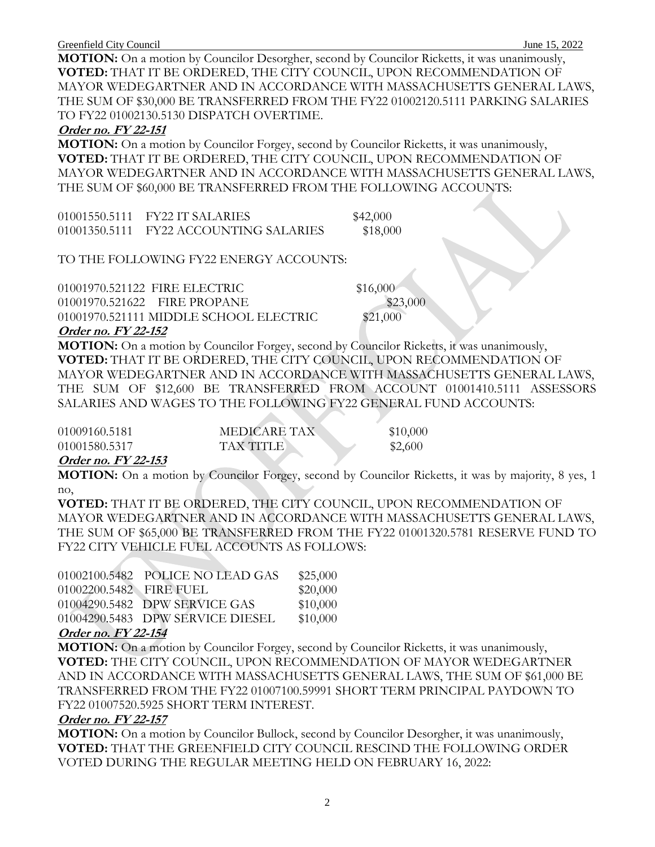**MOTION:** On a motion by Councilor Desorgher, second by Councilor Ricketts, it was unanimously, **VOTED:** THAT IT BE ORDERED, THE CITY COUNCIL, UPON RECOMMENDATION OF MAYOR WEDEGARTNER AND IN ACCORDANCE WITH MASSACHUSETTS GENERAL LAWS, THE SUM OF \$30,000 BE TRANSFERRED FROM THE FY22 01002120.5111 PARKING SALARIES TO FY22 01002130.5130 DISPATCH OVERTIME.

#### **Order no. FY 22-151**

**MOTION:** On a motion by Councilor Forgey, second by Councilor Ricketts, it was unanimously, **VOTED:** THAT IT BE ORDERED, THE CITY COUNCIL, UPON RECOMMENDATION OF MAYOR WEDEGARTNER AND IN ACCORDANCE WITH MASSACHUSETTS GENERAL LAWS, THE SUM OF \$60,000 BE TRANSFERRED FROM THE FOLLOWING ACCOUNTS:

01001550.5111 FY22 IT SALARIES \$42,000 01001350.5111 FY22 ACCOUNTING SALARIES \$18,000

TO THE FOLLOWING FY22 ENERGY ACCOUNTS:

| $\sim$ $\sim$<br>T T 777777777         |          |
|----------------------------------------|----------|
| 01001970.521111 MIDDLE SCHOOL ELECTRIC | \$21,000 |
| 01001970.521622 FIRE PROPANE           | \$23,000 |
| 01001970.521122 FIRE ELECTRIC          | \$16,000 |

#### **Order no. FY 22-152**

**MOTION:** On a motion by Councilor Forgey, second by Councilor Ricketts, it was unanimously, **VOTED:** THAT IT BE ORDERED, THE CITY COUNCIL, UPON RECOMMENDATION OF MAYOR WEDEGARTNER AND IN ACCORDANCE WITH MASSACHUSETTS GENERAL LAWS, THE SUM OF \$12,600 BE TRANSFERRED FROM ACCOUNT 01001410.5111 ASSESSORS SALARIES AND WAGES TO THE FOLLOWING FY22 GENERAL FUND ACCOUNTS:

| 01009160.5181 | <b>MEDICARE TAX</b> | \$10,000 |
|---------------|---------------------|----------|
| 01001580.5317 | <b>TAX TITLE</b>    | \$2,600  |

**All Contracts** 

## **Order no. FY 22-153**

**MOTION:** On a motion by Councilor Forgey, second by Councilor Ricketts, it was by majority, 8 yes, 1 no,

**VOTED:** THAT IT BE ORDERED, THE CITY COUNCIL, UPON RECOMMENDATION OF MAYOR WEDEGARTNER AND IN ACCORDANCE WITH MASSACHUSETTS GENERAL LAWS, THE SUM OF \$65,000 BE TRANSFERRED FROM THE FY22 01001320.5781 RESERVE FUND TO FY22 CITY VEHICLE FUEL ACCOUNTS AS FOLLOWS:

|                         | 01002100.5482 POLICE NO LEAD GAS | \$25,000 |
|-------------------------|----------------------------------|----------|
| 01002200.5482 FIRE FUEL |                                  | \$20,000 |
|                         | 01004290.5482 DPW SERVICE GAS    | \$10,000 |
|                         | 01004290.5483 DPW SERVICE DIESEL | \$10,000 |
|                         |                                  |          |

#### **Order no. FY 22-154**

**MOTION:** On a motion by Councilor Forgey, second by Councilor Ricketts, it was unanimously, **VOTED:** THE CITY COUNCIL, UPON RECOMMENDATION OF MAYOR WEDEGARTNER AND IN ACCORDANCE WITH MASSACHUSETTS GENERAL LAWS, THE SUM OF \$61,000 BE TRANSFERRED FROM THE FY22 01007100.59991 SHORT TERM PRINCIPAL PAYDOWN TO FY22 01007520.5925 SHORT TERM INTEREST.

#### **Order no. FY 22-157**

**MOTION:** On a motion by Councilor Bullock, second by Councilor Desorgher, it was unanimously, **VOTED:** THAT THE GREENFIELD CITY COUNCIL RESCIND THE FOLLOWING ORDER VOTED DURING THE REGULAR MEETING HELD ON FEBRUARY 16, 2022: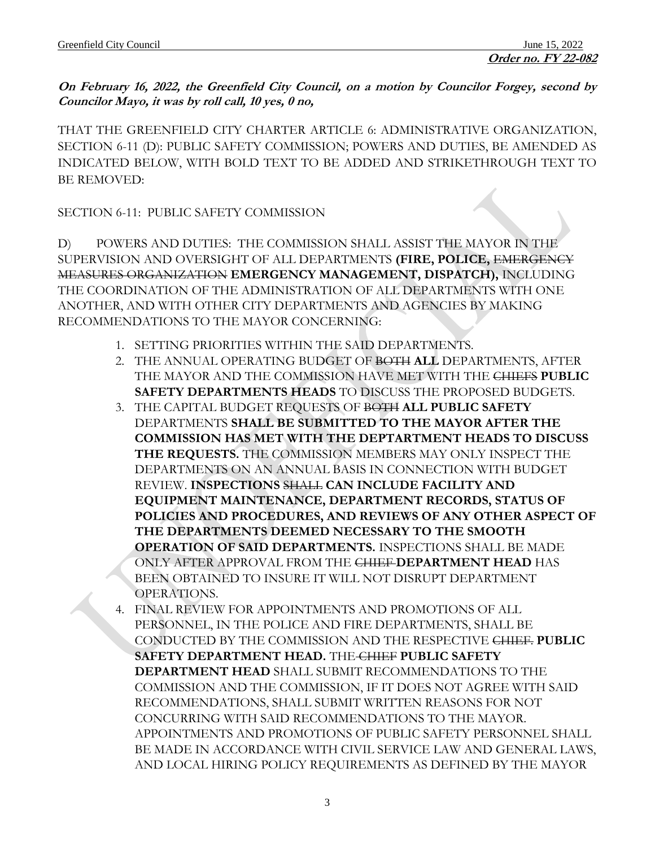**On February 16, 2022, the Greenfield City Council, on a motion by Councilor Forgey, second by Councilor Mayo, it was by roll call, 10 yes, 0 no,**

THAT THE GREENFIELD CITY CHARTER ARTICLE 6: ADMINISTRATIVE ORGANIZATION, SECTION 6-11 (D): PUBLIC SAFETY COMMISSION; POWERS AND DUTIES, BE AMENDED AS INDICATED BELOW, WITH BOLD TEXT TO BE ADDED AND STRIKETHROUGH TEXT TO BE REMOVED:

SECTION 6-11: PUBLIC SAFETY COMMISSION

D) POWERS AND DUTIES: THE COMMISSION SHALL ASSIST THE MAYOR IN THE SUPERVISION AND OVERSIGHT OF ALL DEPARTMENTS **(FIRE, POLICE,** EMERGENCY MEASURES ORGANIZATION **EMERGENCY MANAGEMENT, DISPATCH),** INCLUDING THE COORDINATION OF THE ADMINISTRATION OF ALL DEPARTMENTS WITH ONE ANOTHER, AND WITH OTHER CITY DEPARTMENTS AND AGENCIES BY MAKING RECOMMENDATIONS TO THE MAYOR CONCERNING:

- 1. SETTING PRIORITIES WITHIN THE SAID DEPARTMENTS.
- 2. THE ANNUAL OPERATING BUDGET OF BOTH **ALL** DEPARTMENTS, AFTER THE MAYOR AND THE COMMISSION HAVE MET WITH THE CHIEFS **PUBLIC SAFETY DEPARTMENTS HEADS** TO DISCUSS THE PROPOSED BUDGETS.
- 3. THE CAPITAL BUDGET REQUESTS OF BOTH **ALL PUBLIC SAFETY** DEPARTMENTS **SHALL BE SUBMITTED TO THE MAYOR AFTER THE COMMISSION HAS MET WITH THE DEPTARTMENT HEADS TO DISCUSS THE REQUESTS.** THE COMMISSION MEMBERS MAY ONLY INSPECT THE DEPARTMENTS ON AN ANNUAL BASIS IN CONNECTION WITH BUDGET REVIEW. **INSPECTIONS** SHALL **CAN INCLUDE FACILITY AND EQUIPMENT MAINTENANCE, DEPARTMENT RECORDS, STATUS OF POLICIES AND PROCEDURES, AND REVIEWS OF ANY OTHER ASPECT OF THE DEPARTMENTS DEEMED NECESSARY TO THE SMOOTH OPERATION OF SAID DEPARTMENTS.** INSPECTIONS SHALL BE MADE ONLY AFTER APPROVAL FROM THE CHIEF **DEPARTMENT HEAD** HAS BEEN OBTAINED TO INSURE IT WILL NOT DISRUPT DEPARTMENT OPERATIONS.
- 4. FINAL REVIEW FOR APPOINTMENTS AND PROMOTIONS OF ALL PERSONNEL, IN THE POLICE AND FIRE DEPARTMENTS, SHALL BE CONDUCTED BY THE COMMISSION AND THE RESPECTIVE CHIEF. **PUBLIC SAFETY DEPARTMENT HEAD.** THE CHIEF **PUBLIC SAFETY DEPARTMENT HEAD** SHALL SUBMIT RECOMMENDATIONS TO THE COMMISSION AND THE COMMISSION, IF IT DOES NOT AGREE WITH SAID RECOMMENDATIONS, SHALL SUBMIT WRITTEN REASONS FOR NOT CONCURRING WITH SAID RECOMMENDATIONS TO THE MAYOR. APPOINTMENTS AND PROMOTIONS OF PUBLIC SAFETY PERSONNEL SHALL BE MADE IN ACCORDANCE WITH CIVIL SERVICE LAW AND GENERAL LAWS, AND LOCAL HIRING POLICY REQUIREMENTS AS DEFINED BY THE MAYOR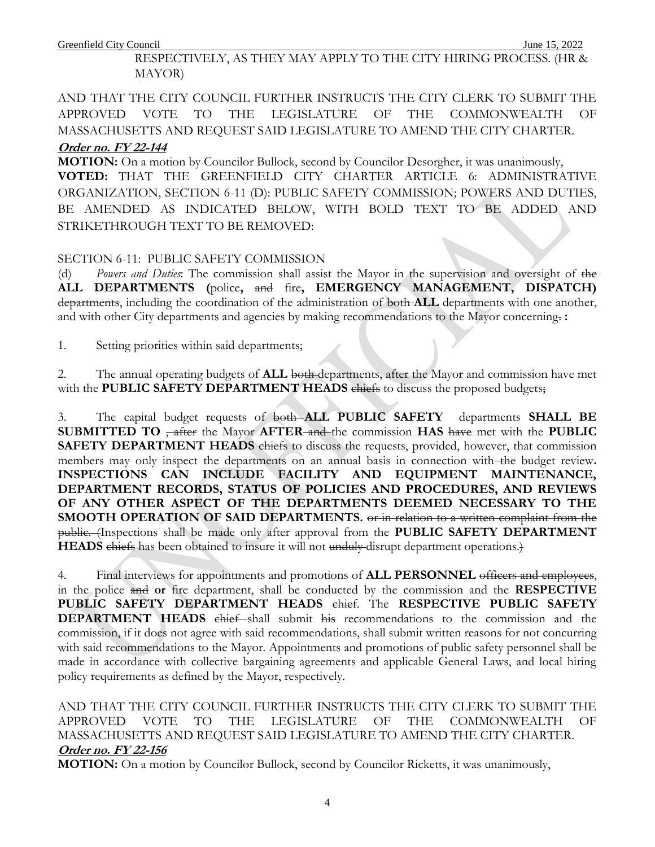Greenfield City Council June 15, 2022

RESPECTIVELY, AS THEY MAY APPLY TO THE CITY HIRING PROCESS. (HR & MAYOR)

AND THAT THE CITY COUNCIL FURTHER INSTRUCTS THE CITY CLERK TO SUBMIT THE APPROVED VOTE TO THE LEGISLATURE OF THE COMMONWEALTH OF MASSACHUSETTS AND REQUEST SAID LEGISLATURE TO AMEND THE CITY CHARTER.

## **Order no. FY 22-144**

**MOTION:** On a motion by Councilor Bullock, second by Councilor Desorgher, it was unanimously, **VOTED:** THAT THE GREENFIELD CITY CHARTER ARTICLE 6: ADMINISTRATIVE ORGANIZATION, SECTION 6-11 (D): PUBLIC SAFETY COMMISSION; POWERS AND DUTIES, BE AMENDED AS INDICATED BELOW, WITH BOLD TEXT TO BE ADDED AND STRIKETHROUGH TEXT TO BE REMOVED:

## SECTION 6-11: PUBLIC SAFETY COMMISSION

(d) *Powers and Duties*: The commission shall assist the Mayor in the supervision and oversight of the **ALL DEPARTMENTS (**police**,** and fire**, EMERGENCY MANAGEMENT, DISPATCH)** departments, including the coordination of the administration of both **ALL** departments with one another, and with other City departments and agencies by making recommendations to the Mayor concerning. **:**

1. Setting priorities within said departments;

2. The annual operating budgets of **ALL** both departments, after the Mayor and commission have met with the **PUBLIC SAFETY DEPARTMENT HEADS** chiefs to discuss the proposed budgets;

3. The capital budget requests of both **ALL PUBLIC SAFETY** departments **SHALL BE SUBMITTED TO** <del>, after</del> the Mayor **AFTER** and the commission **HAS** have met with the **PUBLIC SAFETY DEPARTMENT HEADS** chiefs to discuss the requests, provided, however, that commission members may only inspect the departments on an annual basis in connection with the budget review. **INSPECTIONS CAN INCLUDE FACILITY AND EQUIPMENT MAINTENANCE, DEPARTMENT RECORDS, STATUS OF POLICIES AND PROCEDURES, AND REVIEWS OF ANY OTHER ASPECT OF THE DEPARTMENTS DEEMED NECESSARY TO THE SMOOTH OPERATION OF SAID DEPARTMENTS.** or in relation to a written complaint from the public. (Inspections shall be made only after approval from the **PUBLIC SAFETY DEPARTMENT HEADS** chiefs has been obtained to insure it will not unduly disrupt department operations.)

4. Final interviews for appointments and promotions of **ALL PERSONNEL** officers and employees, in the police and **or** fire department, shall be conducted by the commission and the **RESPECTIVE PUBLIC SAFETY DEPARTMENT HEADS** chief. The **RESPECTIVE PUBLIC SAFETY DEPARTMENT HEADS** chief shall submit his recommendations to the commission and the commission, if it does not agree with said recommendations, shall submit written reasons for not concurring with said recommendations to the Mayor. Appointments and promotions of public safety personnel shall be made in accordance with collective bargaining agreements and applicable General Laws, and local hiring policy requirements as defined by the Mayor, respectively.

AND THAT THE CITY COUNCIL FURTHER INSTRUCTS THE CITY CLERK TO SUBMIT THE APPROVED VOTE TO THE LEGISLATURE OF THE COMMONWEALTH OF MASSACHUSETTS AND REQUEST SAID LEGISLATURE TO AMEND THE CITY CHARTER. **Order no. FY 22-156**

**MOTION:** On a motion by Councilor Bullock, second by Councilor Ricketts, it was unanimously,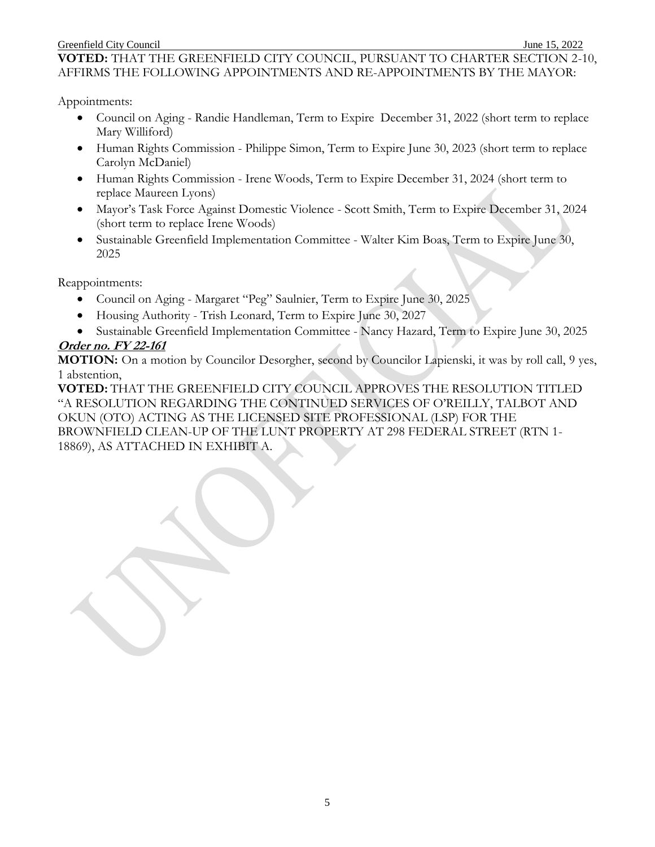#### Greenfield City Council **Iune 15, 2022**

**VOTED:** THAT THE GREENFIELD CITY COUNCIL, PURSUANT TO CHARTER SECTION 2-10, AFFIRMS THE FOLLOWING APPOINTMENTS AND RE-APPOINTMENTS BY THE MAYOR:

Appointments:

- Council on Aging Randie Handleman, Term to Expire December 31, 2022 (short term to replace Mary Williford)
- Human Rights Commission Philippe Simon, Term to Expire June 30, 2023 (short term to replace Carolyn McDaniel)
- Human Rights Commission Irene Woods, Term to Expire December 31, 2024 (short term to replace Maureen Lyons)
- Mayor's Task Force Against Domestic Violence Scott Smith, Term to Expire December 31, 2024 (short term to replace Irene Woods)
- Sustainable Greenfield Implementation Committee Walter Kim Boas, Term to Expire June 30, 2025

Reappointments:

- Council on Aging Margaret "Peg" Saulnier, Term to Expire June 30, 2025
- Housing Authority Trish Leonard, Term to Expire June 30, 2027
- Sustainable Greenfield Implementation Committee Nancy Hazard, Term to Expire June 30, 2025

## **Order no. FY 22-161**

**MOTION:** On a motion by Councilor Desorgher, second by Councilor Lapienski, it was by roll call, 9 yes, 1 abstention,

**VOTED:** THAT THE GREENFIELD CITY COUNCIL APPROVES THE RESOLUTION TITLED "A RESOLUTION REGARDING THE CONTINUED SERVICES OF O'REILLY, TALBOT AND OKUN (OTO) ACTING AS THE LICENSED SITE PROFESSIONAL (LSP) FOR THE BROWNFIELD CLEAN-UP OF THE LUNT PROPERTY AT 298 FEDERAL STREET (RTN 1- 18869), AS ATTACHED IN EXHIBIT A.